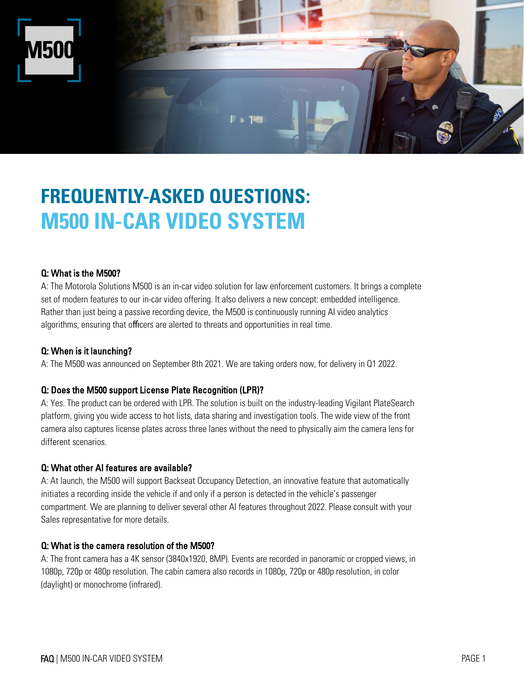

# **FREQUENTLY-ASKED QUESTIONS: M500 IN-CAR VIDEO SYSTEM**

## Q: What is the M500?

A: The Motorola Solutions M500 is an in-car video solution for law enforcement customers. It brings a complete set of modern features to our in-car video offering. It also delivers a new concept: embedded intelligence. Rather than just being a passive recording device, the M500 is continuously running AI video analytics algorithms, ensuring that officers are alerted to threats and opportunities in real time.

#### Q: When is it launching?

A: The M500 was announced on September 8th 2021. We are taking orders now, for delivery in Q1 2022.

## Q: Does the M500 support License Plate Recognition (LPR)?

A: Yes. The product can be ordered with LPR. The solution is built on the industry-leading Vigilant PlateSearch platform, giving you wide access to hot lists, data sharing and investigation tools. The wide view of the front camera also captures license plates across three lanes without the need to physically aim the camera lens for different scenarios.

#### Q: What other AI features are available?

A: At launch, the M500 will support Backseat Occupancy Detection, an innovative feature that automatically initiates a recording inside the vehicle if and only if a person is detected in the vehicle's passenger compartment. We are planning to deliver several other AI features throughout 2022. Please consult with your Sales representative for more details.

## Q: What is the camera resolution of the M500?

A: The front camera has a 4K sensor (3840x1920, 8MP). Events are recorded in panoramic or cropped views, in 1080p, 720p or 480p resolution. The cabin camera also records in 1080p, 720p or 480p resolution, in color (daylight) or monochrome (infrared).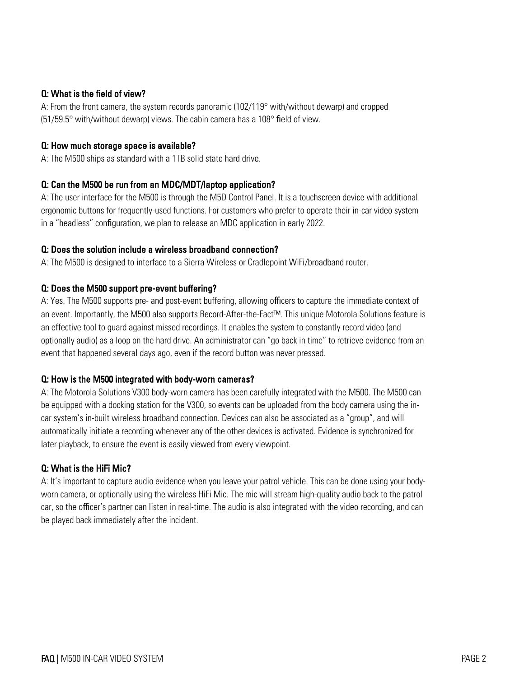## Q: What is the field of view?

A: From the front camera, the system records panoramic (102/119° with/without dewarp) and cropped (51/59.5° with/without dewarp) views. The cabin camera has a 108° field of view.

#### Q: How much storage space is available?

A: The M500 ships as standard with a 1TB solid state hard drive.

## Q: Can the M500 be run from an MDC/MDT/laptop application?

A: The user interface for the M500 is through the M5D Control Panel. It is a touchscreen device with additional ergonomic buttons for frequently-used functions. For customers who prefer to operate their in-car video system in a "headless" configuration, we plan to release an MDC application in early 2022.

## Q: Does the solution include a wireless broadband connection?

A: The M500 is designed to interface to a Sierra Wireless or Cradlepoint WiFi/broadband router.

## Q: Does the M500 support pre-event buffering?

A: Yes. The M500 supports pre- and post-event buffering, allowing officers to capture the immediate context of an event. Importantly, the M500 also supports Record-After-the-Fact™. This unique Motorola Solutions feature is an effective tool to guard against missed recordings. It enables the system to constantly record video (and optionally audio) as a loop on the hard drive. An administrator can "go back in time" to retrieve evidence from an event that happened several days ago, even if the record button was never pressed.

## Q: How is the M500 integrated with body-worn cameras?

A: The Motorola Solutions V300 body-worn camera has been carefully integrated with the M500. The M500 can be equipped with a docking station for the V300, so events can be uploaded from the body camera using the incar system's in-built wireless broadband connection. Devices can also be associated as a "group", and will automatically initiate a recording whenever any of the other devices is activated. Evidence is synchronized for later playback, to ensure the event is easily viewed from every viewpoint.

## Q: What is the HiFi Mic?

A: It's important to capture audio evidence when you leave your patrol vehicle. This can be done using your bodyworn camera, or optionally using the wireless HiFi Mic. The mic will stream high-quality audio back to the patrol car, so the officer's partner can listen in real-time. The audio is also integrated with the video recording, and can be played back immediately after the incident.